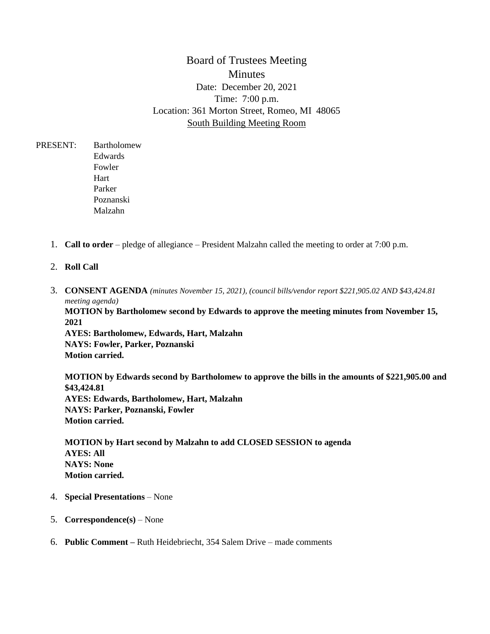# Board of Trustees Meeting **Minutes** Date: December 20, 2021 Time: 7:00 p.m. Location: 361 Morton Street, Romeo, MI 48065 South Building Meeting Room

PRESENT: Bartholomew Edwards Fowler Hart Parker Poznanski Malzahn

- 1. **Call to order** pledge of allegiance President Malzahn called the meeting to order at 7:00 p.m.
- 2. **Roll Call**
- 3. **CONSENT AGENDA** *(minutes November 15, 2021), (council bills/vendor report \$221,905.02 AND \$43,424.81 meeting agenda)*

**MOTION by Bartholomew second by Edwards to approve the meeting minutes from November 15, 2021**

**AYES: Bartholomew, Edwards, Hart, Malzahn NAYS: Fowler, Parker, Poznanski Motion carried.** 

**MOTION by Edwards second by Bartholomew to approve the bills in the amounts of \$221,905.00 and \$43,424.81 AYES: Edwards, Bartholomew, Hart, Malzahn NAYS: Parker, Poznanski, Fowler Motion carried.** 

**MOTION by Hart second by Malzahn to add CLOSED SESSION to agenda AYES: All NAYS: None Motion carried.** 

- 4. **Special Presentations** None
- 5. **Correspondence(s)** None
- 6. **Public Comment –** Ruth Heidebriecht, 354 Salem Drive made comments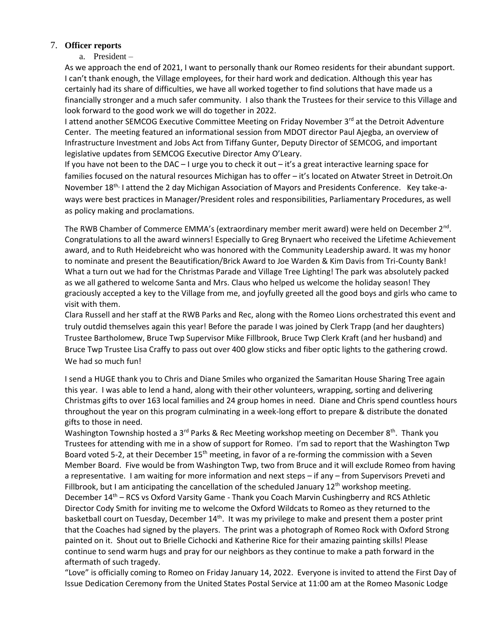#### 7. **Officer reports**

a. President –

As we approach the end of 2021, I want to personally thank our Romeo residents for their abundant support. I can't thank enough, the Village employees, for their hard work and dedication. Although this year has certainly had its share of difficulties, we have all worked together to find solutions that have made us a financially stronger and a much safer community. I also thank the Trustees for their service to this Village and look forward to the good work we will do together in 2022.

I attend another SEMCOG Executive Committee Meeting on Friday November 3<sup>rd</sup> at the Detroit Adventure Center. The meeting featured an informational session from MDOT director Paul Ajegba, an overview of Infrastructure Investment and Jobs Act from Tiffany Gunter, Deputy Director of SEMCOG, and important legislative updates from SEMCOG Executive Director Amy O'Leary.

If you have not been to the DAC – I urge you to check it out – it's a great interactive learning space for families focused on the natural resources Michigan has to offer – it's located on Atwater Street in Detroit.On November 18<sup>th,</sup> I attend the 2 day Michigan Association of Mayors and Presidents Conference. Key take-aways were best practices in Manager/President roles and responsibilities, Parliamentary Procedures, as well as policy making and proclamations.

The RWB Chamber of Commerce EMMA's (extraordinary member merit award) were held on December 2<sup>nd</sup>. Congratulations to all the award winners! Especially to Greg Brynaert who received the Lifetime Achievement award, and to Ruth Heidebreicht who was honored with the Community Leadership award. It was my honor to nominate and present the Beautification/Brick Award to Joe Warden & Kim Davis from Tri-County Bank! What a turn out we had for the Christmas Parade and Village Tree Lighting! The park was absolutely packed as we all gathered to welcome Santa and Mrs. Claus who helped us welcome the holiday season! They graciously accepted a key to the Village from me, and joyfully greeted all the good boys and girls who came to visit with them.

Clara Russell and her staff at the RWB Parks and Rec, along with the Romeo Lions orchestrated this event and truly outdid themselves again this year! Before the parade I was joined by Clerk Trapp (and her daughters) Trustee Bartholomew, Bruce Twp Supervisor Mike Fillbrook, Bruce Twp Clerk Kraft (and her husband) and Bruce Twp Trustee Lisa Craffy to pass out over 400 glow sticks and fiber optic lights to the gathering crowd. We had so much fun!

I send a HUGE thank you to Chris and Diane Smiles who organized the Samaritan House Sharing Tree again this year. I was able to lend a hand, along with their other volunteers, wrapping, sorting and delivering Christmas gifts to over 163 local families and 24 group homes in need. Diane and Chris spend countless hours throughout the year on this program culminating in a week-long effort to prepare & distribute the donated gifts to those in need.

Washington Township hosted a 3<sup>rd</sup> Parks & Rec Meeting workshop meeting on December 8<sup>th</sup>. Thank you Trustees for attending with me in a show of support for Romeo. I'm sad to report that the Washington Twp Board voted 5-2, at their December  $15<sup>th</sup>$  meeting, in favor of a re-forming the commission with a Seven Member Board. Five would be from Washington Twp, two from Bruce and it will exclude Romeo from having a representative. I am waiting for more information and next steps – if any – from Supervisors Preveti and Fillbrook, but I am anticipating the cancellation of the scheduled January  $12<sup>th</sup>$  workshop meeting. December 14<sup>th</sup> – RCS vs Oxford Varsity Game - Thank you Coach Marvin Cushingberry and RCS Athletic Director Cody Smith for inviting me to welcome the Oxford Wildcats to Romeo as they returned to the basketball court on Tuesday, December  $14<sup>th</sup>$ . It was my privilege to make and present them a poster print that the Coaches had signed by the players. The print was a photograph of Romeo Rock with Oxford Strong painted on it. Shout out to Brielle Cichocki an[d Katherine](https://www.facebook.com/katherine.hemphillrice?__cft__%5B0%5D=AZWBRGAlScwru0JS4t13etSmur9z1vZxXWrZscT0FHhkH9UDJwjVf6OyPzmi7gm9JJw4tnbHuQZcwhLWEPZLTVhARvdmmyj0orIC8id7NmPGpqa0_TMu3hf-Ko67XHuDwHY6fNhKlnR1sASiDRxson_QFrxV54U-K-e52XMVHJIYtVGVtvAVdhkDO3_2cNeBfaI&__tn__=-%5DK-R) Rice for their amazing painting skills! Please continue to send warm hugs and pray for our neighbors as they continue to make a path forward in the aftermath of such tragedy.

"Love" is officially coming to Romeo on Friday January 14, 2022. Everyone is invited to attend the First Day of Issue Dedication Ceremony from the United States Postal Service at 11:00 am at the Romeo Masonic Lodge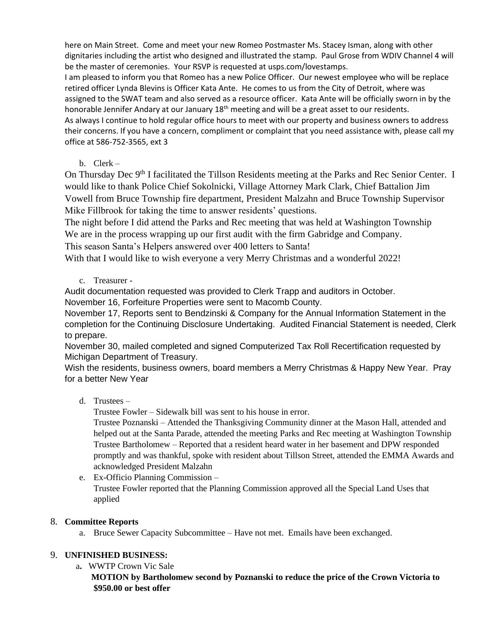here on Main Street. Come and meet your new Romeo Postmaster Ms. Stacey Isman, along with other dignitaries including the artist who designed and illustrated the stamp. Paul Grose from WDIV Channel 4 will be the master of ceremonies. Your RSVP is requested at usps.com/lovestamps.

I am pleased to inform you that Romeo has a new Police Officer. Our newest employee who will be replace retired officer Lynda Blevins is Officer Kata Ante. He comes to us from the City of Detroit, where was assigned to the SWAT team and also served as a resource officer. Kata Ante will be officially sworn in by the honorable Jennifer Andary at our January 18<sup>th</sup> meeting and will be a great asset to our residents. As always I continue to hold regular office hours to meet with our property and business owners to address their concerns. If you have a concern, compliment or complaint that you need assistance with, please call my office at 586-752-3565, ext 3

b. Clerk –

On Thursday Dec 9<sup>th</sup> I facilitated the Tillson Residents meeting at the Parks and Rec Senior Center. I would like to thank Police Chief Sokolnicki, Village Attorney Mark Clark, Chief Battalion Jim Vowell from Bruce Township fire department, President Malzahn and Bruce Township Supervisor Mike Fillbrook for taking the time to answer residents' questions.

The night before I did attend the Parks and Rec meeting that was held at Washington Township We are in the process wrapping up our first audit with the firm Gabridge and Company. This season Santa's Helpers answered over 400 letters to Santa!

With that I would like to wish everyone a very Merry Christmas and a wonderful 2022!

c. Treasurer -

Audit documentation requested was provided to Clerk Trapp and auditors in October.

November 16, Forfeiture Properties were sent to Macomb County.

November 17, Reports sent to Bendzinski & Company for the Annual Information Statement in the completion for the Continuing Disclosure Undertaking. Audited Financial Statement is needed, Clerk to prepare.

November 30, mailed completed and signed Computerized Tax Roll Recertification requested by Michigan Department of Treasury.

Wish the residents, business owners, board members a Merry Christmas & Happy New Year. Pray for a better New Year

d. Trustees –

Trustee Fowler – Sidewalk bill was sent to his house in error.

Trustee Poznanski – Attended the Thanksgiving Community dinner at the Mason Hall, attended and helped out at the Santa Parade, attended the meeting Parks and Rec meeting at Washington Township Trustee Bartholomew – Reported that a resident heard water in her basement and DPW responded promptly and was thankful, spoke with resident about Tillson Street, attended the EMMA Awards and acknowledged President Malzahn

e. Ex-Officio Planning Commission – Trustee Fowler reported that the Planning Commission approved all the Special Land Uses that applied

## 8. **Committee Reports**

a. Bruce Sewer Capacity Subcommittee – Have not met. Emails have been exchanged.

### 9. **UNFINISHED BUSINESS:**

a**.** WWTP Crown Vic Sale **MOTION by Bartholomew second by Poznanski to reduce the price of the Crown Victoria to \$950.00 or best offer**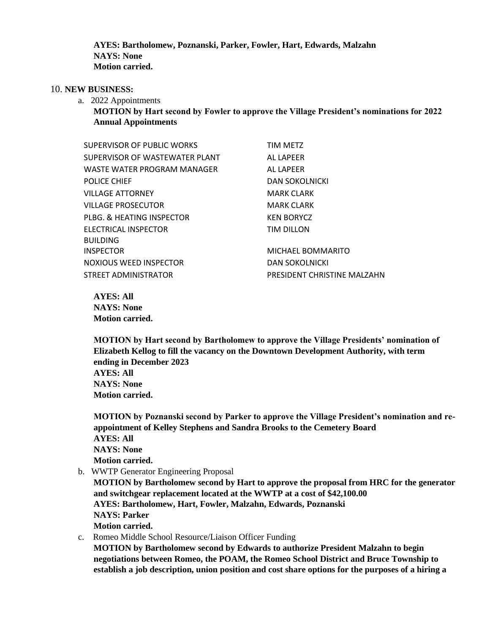**AYES: Bartholomew, Poznanski, Parker, Fowler, Hart, Edwards, Malzahn NAYS: None Motion carried.** 

#### 10. **NEW BUSINESS:**

- a. 2022 Appointments
	- **MOTION by Hart second by Fowler to approve the Village President's nominations for 2022 Annual Appointments**

| SUPERVISOR OF PUBLIC WORKS     | TIM METZ                    |
|--------------------------------|-----------------------------|
| SUPERVISOR OF WASTEWATER PLANT | AL LAPEER                   |
| WASTE WATER PROGRAM MANAGER    | AL LAPEER                   |
| <b>POLICE CHIEF</b>            | <b>DAN SOKOLNICKI</b>       |
| VILLAGE ATTORNEY               | <b>MARK CLARK</b>           |
| VILLAGE PROSECUTOR             | <b>MARK CLARK</b>           |
| PLBG. & HEATING INSPECTOR      | <b>KEN BORYCZ</b>           |
| ELECTRICAL INSPECTOR           | TIM DILLON                  |
| <b>BUILDING</b>                |                             |
| INSPECTOR                      | MICHAEL BOMMARITO           |
| NOXIOUS WEED INSPECTOR         | <b>DAN SOKOLNICKI</b>       |
| STREET ADMINISTRATOR           | PRESIDENT CHRISTINE MALZAHN |

**AYES: All NAYS: None Motion carried.** 

**MOTION by Hart second by Bartholomew to approve the Village Presidents' nomination of Elizabeth Kellog to fill the vacancy on the Downtown Development Authority, with term ending in December 2023 AYES: All NAYS: None Motion carried.** 

**MOTION by Poznanski second by Parker to approve the Village President's nomination and reappointment of Kelley Stephens and Sandra Brooks to the Cemetery Board AYES: All NAYS: None Motion carried.** 

b. WWTP Generator Engineering Proposal

**MOTION by Bartholomew second by Hart to approve the proposal from HRC for the generator and switchgear replacement located at the WWTP at a cost of \$42,100.00 AYES: Bartholomew, Hart, Fowler, Malzahn, Edwards, Poznanski NAYS: Parker Motion carried.** 

c. Romeo Middle School Resource/Liaison Officer Funding

**MOTION by Bartholomew second by Edwards to authorize President Malzahn to begin negotiations between Romeo, the POAM, the Romeo School District and Bruce Township to establish a job description, union position and cost share options for the purposes of a hiring a**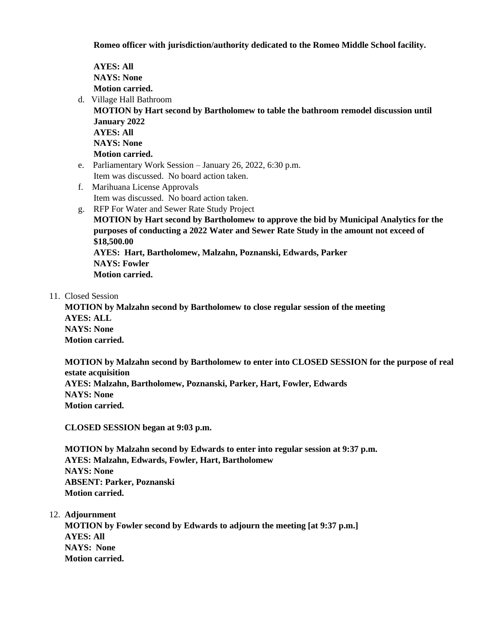**Romeo officer with jurisdiction/authority dedicated to the Romeo Middle School facility.**

**AYES: All NAYS: None Motion carried.** 

d. Village Hall Bathroom

**MOTION by Hart second by Bartholomew to table the bathroom remodel discussion until January 2022 AYES: All NAYS: None Motion carried.** 

- e. Parliamentary Work Session January 26, 2022, 6:30 p.m. Item was discussed. No board action taken.
- f. Marihuana License Approvals Item was discussed. No board action taken.
- g. RFP For Water and Sewer Rate Study Project

**MOTION by Hart second by Bartholomew to approve the bid by Municipal Analytics for the purposes of conducting a 2022 Water and Sewer Rate Study in the amount not exceed of \$18,500.00**

**AYES: Hart, Bartholomew, Malzahn, Poznanski, Edwards, Parker NAYS: Fowler Motion carried.** 

11. Closed Session

**MOTION by Malzahn second by Bartholomew to close regular session of the meeting AYES: ALL NAYS: None Motion carried.** 

**MOTION by Malzahn second by Bartholomew to enter into CLOSED SESSION for the purpose of real estate acquisition AYES: Malzahn, Bartholomew, Poznanski, Parker, Hart, Fowler, Edwards NAYS: None Motion carried.** 

**CLOSED SESSION began at 9:03 p.m.** 

**MOTION by Malzahn second by Edwards to enter into regular session at 9:37 p.m. AYES: Malzahn, Edwards, Fowler, Hart, Bartholomew NAYS: None ABSENT: Parker, Poznanski Motion carried.** 

12. **Adjournment**

**MOTION by Fowler second by Edwards to adjourn the meeting [at 9:37 p.m.] AYES: All NAYS: None Motion carried.**